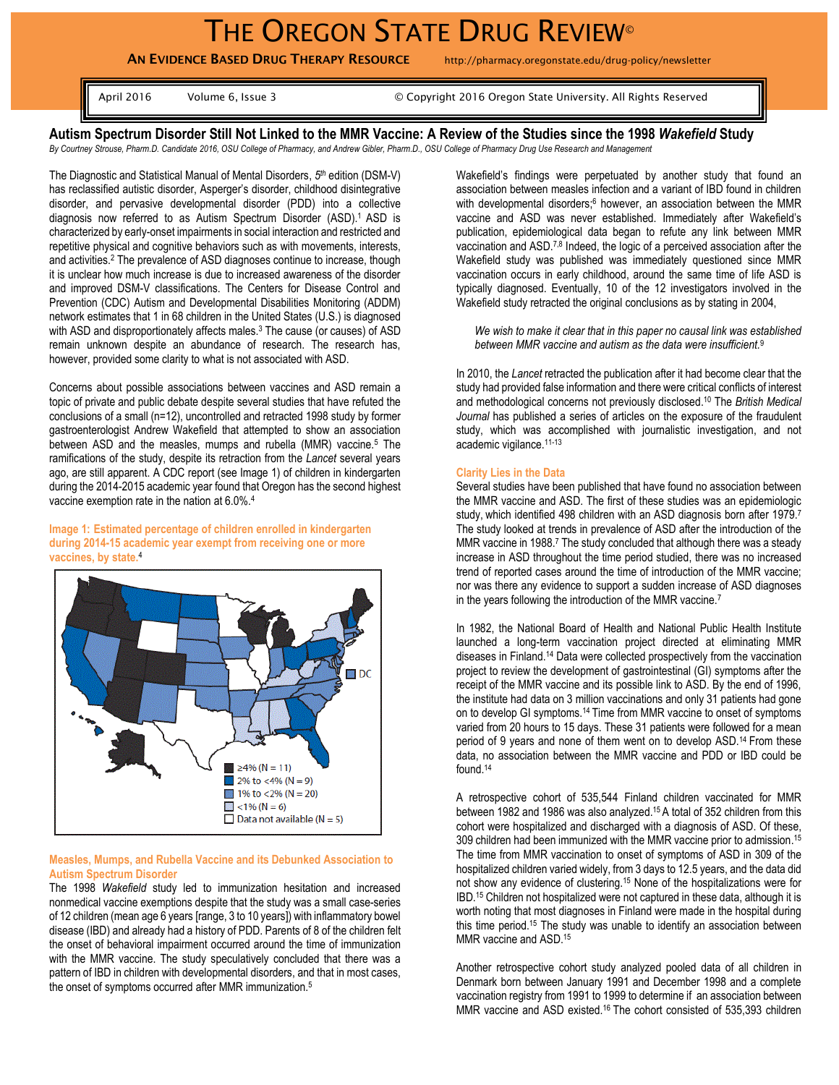# THE OREGON STATE DRUG REVIEW®

**AN EVIDENCE BASED DRUG THERAPY RESOURCE** http://pharmacy.oregonstate.edu/drug-policy/newsletter

April 2016 Volume 6, Issue 3 © Copyright 2016 Oregon State University. All Rights Reserved

**Autism Spectrum Disorder Still Not Linked to the MMR Vaccine: A Review of the Studies since the 1998** *Wakefield* **Study** *By Courtney Strouse, Pharm.D. Candidate 2016, OSU College of Pharmacy, and Andrew Gibler, Pharm.D., OSU College of Pharmacy Drug Use Research and Management*

The Diagnostic and Statistical Manual of Mental Disorders, *5 th* edition (DSM-V) has reclassified autistic disorder, Asperger's disorder, childhood disintegrative disorder, and pervasive developmental disorder (PDD) into a collective diagnosis now referred to as Autism Spectrum Disorder (ASD). <sup>1</sup>ASD is characterized by early-onset impairments in social interaction and restricted and repetitive physical and cognitive behaviors such as with movements, interests, and activities.<sup>2</sup> The prevalence of ASD diagnoses continue to increase, though it is unclear how much increase is due to increased awareness of the disorder and improved DSM-V classifications. The Centers for Disease Control and Prevention (CDC) Autism and Developmental Disabilities Monitoring (ADDM) network estimates that 1 in 68 children in the United States (U.S.) is diagnosed with ASD and disproportionately affects males.<sup>3</sup> The cause (or causes) of ASD remain unknown despite an abundance of research. The research has, however, provided some clarity to what is not associated with ASD.

Concerns about possible associations between vaccines and ASD remain a topic of private and public debate despite several studies that have refuted the conclusions of a small (n=12), uncontrolled and retracted 1998 study by former gastroenterologist Andrew Wakefield that attempted to show an association between ASD and the measles, mumps and rubella (MMR) vaccine.<sup>5</sup> The ramifications of the study, despite its retraction from the *Lancet* several years ago, are still apparent. A CDC report (see Image 1) of children in kindergarten during the 2014-2015 academic year found that Oregon has the second highest vaccine exemption rate in the nation at 6.0%.<sup>4</sup>

**Image 1: Estimated percentage of children enrolled in kindergarten during 2014-15 academic year exempt from receiving one or more vaccines, by state.**<sup>4</sup>



## **Measles, Mumps, and Rubella Vaccine and its Debunked Association to Autism Spectrum Disorder**

The 1998 *Wakefield* study led to immunization hesitation and increased nonmedical vaccine exemptions despite that the study was a small case-series of 12 children (mean age 6 years [range, 3 to 10 years]) with inflammatory bowel disease (IBD) and already had a history of PDD. Parents of 8 of the children felt the onset of behavioral impairment occurred around the time of immunization with the MMR vaccine. The study speculatively concluded that there was a pattern of IBD in children with developmental disorders, and that in most cases, the onset of symptoms occurred after MMR immunization.<sup>5</sup>

Wakefield's findings were perpetuated by another study that found an association between measles infection and a variant of IBD found in children with developmental disorders;<sup>6</sup> however, an association between the MMR vaccine and ASD was never established. Immediately after Wakefield's publication, epidemiological data began to refute any link between MMR vaccination and ASD.7,8 Indeed, the logic of a perceived association after the Wakefield study was published was immediately questioned since MMR vaccination occurs in early childhood, around the same time of life ASD is typically diagnosed. Eventually, 10 of the 12 investigators involved in the Wakefield study retracted the original conclusions as by stating in 2004,

*We wish to make it clear that in this paper no causal link was established between MMR vaccine and autism as the data were insufficient.* 9

In 2010, the *Lancet* retracted the publication after it had become clear that the study had provided false information and there were critical conflicts of interest and methodological concerns not previously disclosed. <sup>10</sup> The *British Medical Journal* has published a series of articles on the exposure of the fraudulent study, which was accomplished with journalistic investigation, and not academic vigilance. 11-13

#### **Clarity Lies in the Data**

Several studies have been published that have found no association between the MMR vaccine and ASD. The first of these studies was an epidemiologic study, which identified 498 children with an ASD diagnosis born after 1979.<sup>7</sup> The study looked at trends in prevalence of ASD after the introduction of the MMR vaccine in 1988.<sup>7</sup> The study concluded that although there was a steady increase in ASD throughout the time period studied, there was no increased trend of reported cases around the time of introduction of the MMR vaccine; nor was there any evidence to support a sudden increase of ASD diagnoses in the years following the introduction of the MMR vaccine.<sup>7</sup>

In 1982, the National Board of Health and National Public Health Institute launched a long-term vaccination project directed at eliminating MMR diseases in Finland.<sup>14</sup> Data were collected prospectively from the vaccination project to review the development of gastrointestinal (GI) symptoms after the receipt of the MMR vaccine and its possible link to ASD. By the end of 1996, the institute had data on 3 million vaccinations and only 31 patients had gone on to develop GI symptoms.<sup>14</sup> Time from MMR vaccine to onset of symptoms varied from 20 hours to 15 days. These 31 patients were followed for a mean period of 9 years and none of them went on to develop ASD.<sup>14</sup> From these data, no association between the MMR vaccine and PDD or IBD could be found. 14

A retrospective cohort of 535,544 Finland children vaccinated for MMR between 1982 and 1986 was also analyzed. <sup>15</sup> A total of 352 children from this cohort were hospitalized and discharged with a diagnosis of ASD. Of these, 309 children had been immunized with the MMR vaccine prior to admission. 15 The time from MMR vaccination to onset of symptoms of ASD in 309 of the hospitalized children varied widely, from 3 days to 12.5 years, and the data did not show any evidence of clustering.<sup>15</sup> None of the hospitalizations were for IBD.<sup>15</sup> Children not hospitalized were not captured in these data, although it is worth noting that most diagnoses in Finland were made in the hospital during this time period.<sup>15</sup> The study was unable to identify an association between MMR vaccine and ASD.<sup>15</sup>

Another retrospective cohort study analyzed pooled data of all children in Denmark born between January 1991 and December 1998 and a complete vaccination registry from 1991 to 1999 to determine if an association between MMR vaccine and ASD existed.<sup>16</sup> The cohort consisted of 535,393 children